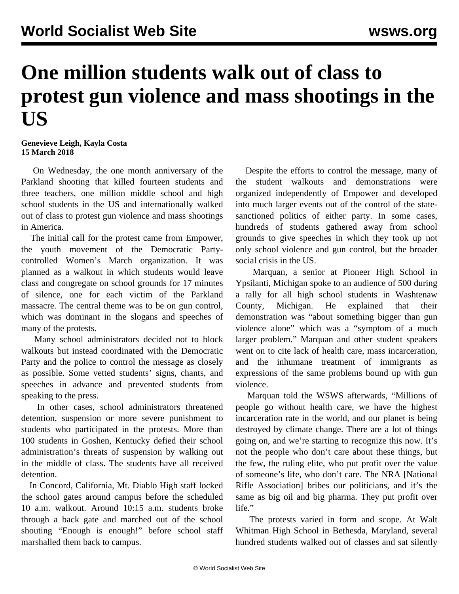## **One million students walk out of class to protest gun violence and mass shootings in the US**

**Genevieve Leigh, Kayla Costa 15 March 2018**

 On Wednesday, the one month anniversary of the Parkland shooting that killed fourteen students and three teachers, one million middle school and high school students in the US and internationally walked out of class to protest gun violence and mass shootings in America.

 The initial call for the protest came from Empower, the youth movement of the Democratic Partycontrolled Women's March organization. It was planned as a walkout in which students would leave class and congregate on school grounds for 17 minutes of silence, one for each victim of the Parkland massacre. The central theme was to be on gun control, which was dominant in the slogans and speeches of many of the protests.

 Many school administrators decided not to block walkouts but instead coordinated with the Democratic Party and the police to control the message as closely as possible. Some vetted students' signs, chants, and speeches in advance and prevented students from speaking to the press.

 In other cases, school administrators threatened detention, suspension or more severe punishment to students who participated in the protests. More than 100 students in Goshen, Kentucky defied their school administration's threats of suspension by walking out in the middle of class. The students have all received detention.

 In Concord, California, Mt. Diablo High staff locked the school gates around campus before the scheduled 10 a.m. walkout. Around 10:15 a.m. students broke through a back gate and marched out of the school shouting "Enough is enough!" before school staff marshalled them back to campus.

 Despite the efforts to control the message, many of the student walkouts and demonstrations were organized independently of Empower and developed into much larger events out of the control of the statesanctioned politics of either party. In some cases, hundreds of students gathered away from school grounds to give speeches in which they took up not only school violence and gun control, but the broader social crisis in the US.

 Marquan, a senior at Pioneer High School in Ypsilanti, Michigan spoke to an audience of 500 during a rally for all high school students in Washtenaw County, Michigan. He explained that their demonstration was "about something bigger than gun violence alone" which was a "symptom of a much larger problem." Marquan and other student speakers went on to cite lack of health care, mass incarceration, and the inhumane treatment of immigrants as expressions of the same problems bound up with gun violence.

 Marquan told the WSWS afterwards, "Millions of people go without health care, we have the highest incarceration rate in the world, and our planet is being destroyed by climate change. There are a lot of things going on, and we're starting to recognize this now. It's not the people who don't care about these things, but the few, the ruling elite, who put profit over the value of someone's life, who don't care. The NRA [National Rifle Association] bribes our politicians, and it's the same as big oil and big pharma. They put profit over life."

 The protests varied in form and scope. At Walt Whitman High School in Bethesda, Maryland, several hundred students walked out of classes and sat silently